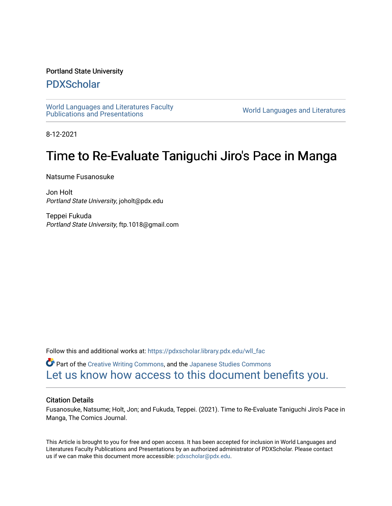### Portland State University

### [PDXScholar](https://pdxscholar.library.pdx.edu/)

[World Languages and Literatures Faculty](https://pdxscholar.library.pdx.edu/wll_fac)  world Languages and Literatures Faculty<br>Publications and Presentations

8-12-2021

# Time to Re-Evaluate Taniguchi Jiro's Pace in Manga

Natsume Fusanosuke

Jon Holt Portland State University, joholt@pdx.edu

Teppei Fukuda Portland State University, ftp.1018@gmail.com

Follow this and additional works at: [https://pdxscholar.library.pdx.edu/wll\\_fac](https://pdxscholar.library.pdx.edu/wll_fac?utm_source=pdxscholar.library.pdx.edu%2Fwll_fac%2F160&utm_medium=PDF&utm_campaign=PDFCoverPages)

Part of the [Creative Writing Commons](http://network.bepress.com/hgg/discipline/574?utm_source=pdxscholar.library.pdx.edu%2Fwll_fac%2F160&utm_medium=PDF&utm_campaign=PDFCoverPages), and the [Japanese Studies Commons](http://network.bepress.com/hgg/discipline/1287?utm_source=pdxscholar.library.pdx.edu%2Fwll_fac%2F160&utm_medium=PDF&utm_campaign=PDFCoverPages)  [Let us know how access to this document benefits you.](http://library.pdx.edu/services/pdxscholar-services/pdxscholar-feedback/?ref=https://pdxscholar.library.pdx.edu/wll_fac/160) 

#### Citation Details

Fusanosuke, Natsume; Holt, Jon; and Fukuda, Teppei. (2021). Time to Re-Evaluate Taniguchi Jiro's Pace in Manga, The Comics Journal.

This Article is brought to you for free and open access. It has been accepted for inclusion in World Languages and Literatures Faculty Publications and Presentations by an authorized administrator of PDXScholar. Please contact us if we can make this document more accessible: [pdxscholar@pdx.edu.](mailto:pdxscholar@pdx.edu)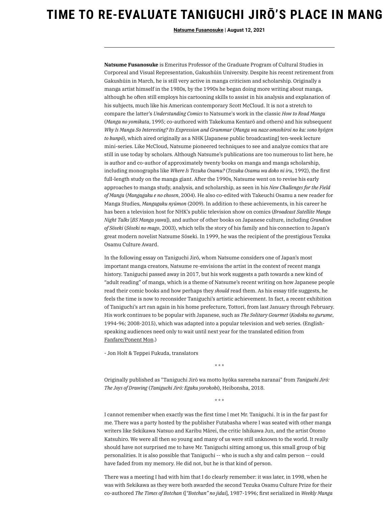## **TIME TO RE-EVALUATE TANIGUCHI JIRŌ'S PLACE IN MANG**

**[Natsume Fusanosuke](https://www.tcj.com/author/natsume-fusanosuke/) | August 12, 2021**

**Natsume Fusanosuke** is Emeritus Professor of the Graduate Program of Cultural Studies in Corporeal and Visual Representation, Gakushūin University. Despite his recent retirement from Gakushūin in March, he is still very active in manga criticism and scholarship. Originally a manga artist himself in the 1980s, by the 1990s he began doing more writing about manga, although he often still employs his cartooning skills to assist in his analysis and explanation of his subjects, much like his American contemporary Scott McCloud. It is not a stretch to compare the latter's *Understanding Comics* to Natsume's work in the classic *How to Read Manga* (*Manga no yomikata*, 1995; co-authored with Takekuma Kentarō and others) and his subsequent Why Is Manga So Interesting? Its Expression and Grammar (Manga wa naze omoshiroi no ka: sono hyōgen *to bunpō*), which aired originally as a NHK [Japanese public broadcasting] ten-week lecture mini-series. Like McCloud, Natsume pioneered techniques to see and analyze comics that are still in use today by scholars. Although Natsume's publications are too numerous to list here, he is author and co-author of approximately twenty books on manga and manga scholarship, including monographs like *Where Is Tezuka Osamu?* (*Tezuka Osamu wa doko ni iru*, 1992), the first full-length study on the manga giant. After the 1990s, Natsume went on to revise his early approaches to manga study, analysis, and scholarship, as seen in his *New Challenges for the Field of Manga* (*Mangagaku e no chosen*, 2004). He also co-edited with Takeuchi Osamu a new reader for Manga Studies, *Mangagaku nyūmon* (2009). In addition to these achievements, in his career he has been a television host for NHK's public television show on comics (*Broadcast Satellite Manga Night Talks* [*BS Manga yawa*]), and author of other books on Japanese culture, including *Grandson of Sōseki* (*Sōseki no mago*, 2003), which tells the story of his family and his connection to Japan's great modern novelist Natsume Sōseki. In 1999, he was the recipient of the prestigious Tezuka Osamu Culture Award.

In the following essay on Taniguchi Jirō, whom Natsume considers one of Japan's most important manga creators, Natsume re-envisions the artist in the context of recent manga history. Taniguchi passed away in 2017, but his work suggests a path towards a new kind of "adult reading" of manga, which is a theme of Natsume's recent writing on how Japanese people read their comic books and how perhaps they *should* read them. As his essay title suggests, he feels the time is now to reconsider Taniguchi's artistic achievement. In fact, a recent exhibition of Taniguchi's art ran again in his home prefecture, Tottori, from last January through February. His work continues to be popular with Japanese, such as *The Solitary Gourmet* (*Kodoku no gurume*, 1994-96; 2008-2015), which was adapted into a popular television and web series. (Englishspeaking audiences need only to wait until next year for the translated edition from [Fanfare/Ponent](http://www.ponentmon.com/comic-books-english/in-the-making/gourmet/index.html) Mon.)

- Jon Holt & Teppei Fukuda, translators

\* \* \*

Originally published as "Taniguchi Jirō wa motto hyōka sareneba naranai" from *Taniguchi Jirō: The Joys of Drawing* (*Taniguchi Jirō: Egaku yorokobi*), Heibonsha, 2018.

\* \* \*

I cannot remember when exactly was the first time I met Mr. Taniguchi. It is in the far past for me. There was a party hosted by the publisher Futabasha where I was seated with other manga writers like Sekikawa Natsuo and Karibu Mārei, the critic Ishikawa Jun, and the artist Ōtomo Katsuhiro. We were all then so young and many of us were still unknown to the world. It really should have not surprised me to have Mr. Taniguchi sitting among us, this small group of big personalities. It is also possible that Taniguchi -- who is such a shy and calm person -- could have faded from my memory. He did not, but he is that kind of person.

There was a meeting I had with him that I do clearly remember: it was later, in 1998, when he was with Sekikawa as they were both awarded the second Tezuka Osamu Culture Prize for their co-authored *The Times of Botchan* ([*"Botchan" no jidai*], 1987-1996; first serialized in *Weekly Manga*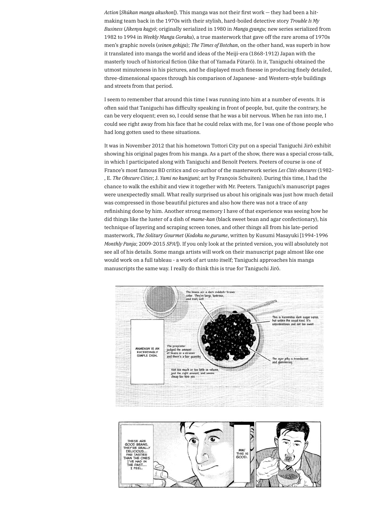*Action* [*Shūkan manga akushon*]). This manga was not their first work — they had been a hitmaking team back in the 1970s with their stylish, hard-boiled detective story *Trouble Is My Business* (*Jikenya kagyō*; originally serialized in 1980 in *Manga gyangu*; new series serialized from 1982 to 1994 in *Weekly Manga Goraku*), a true masterwork that gave off the rare aroma of 1970s men's graphic novels (*seinen gekiga*); *The Times of Botchan*, on the other hand, was superb in how it translated into manga the world and ideas of the Meiji-era (1868-1912) Japan with the masterly touch of historical fiction (like that of Yamada Fūtarō). In it, Taniguchi obtained the utmost minuteness in his pictures, and he displayed much finesse in producing finely detailed, three-dimensional spaces through his comparison of Japanese- and Western-style buildings and streets from that period.

I seem to remember that around this time I was running into him at a number of events. It is often said that Taniguchi has difficulty speaking in front of people, but, quite the contrary, he can be very eloquent; even so, I could sense that he was a bit nervous. When he ran into me, I could see right away from his face that he could relax with me, for I was one of those people who had long gotten used to these situations.

It was in November 2012 that his hometown Tottori City put on a special Taniguchi Jirō exhibit showing his original pages from his manga. As a part of the show, there was a special cross-talk, in which I participated along with Taniguchi and Benoît Peeters. Peeters of course is one of France's most famous BD critics and co-author of the masterwork series *Les Cités obscures* (1982- , E. *The Obscure Cities*; J. *Yami no kuniguni*; art by François Schuiten). During this time, I had the chance to walk the exhibit and view it together with Mr. Peeters. Taniguchi's manuscript pages were unexpectedly small. What really surprised us about his originals was just how much detail was compressed in those beautiful pictures and also how there was not a trace of any refinishing done by him. Another strong memory I have of that experience was seeing how he did things like the luster of a dish of *mame-kan* (black sweet bean and agar confectionary), his technique of layering and scraping screen tones, and other things all from his late-period masterwork, *The Solitary Gourmet* (*Kodoku no gurume*, written by Kusumi Masayuki [1994-1996 *Monthly Panja*; 2009-2015 *SPA!*]). If you only look at the printed version, you will absolutely not see all of his details. Some manga artists will work on their manuscript page almost like one would work on a full tableau - a work of art unto itself; Taniguchi approaches his manga manuscripts the same way. I really do think this is true for Taniguchi Jirō.



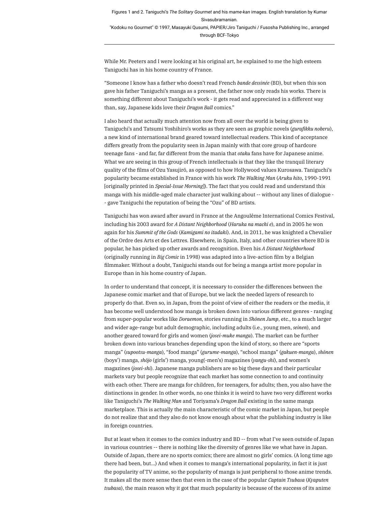Figures 1 and 2. Taniguchi's *The Solitary Gourmet* and his *mame-kan* images. English translation by Kumar Sivasubramanian. "Kodoku no Gourmet" © 1997, Masayuki Qusumi, PAPIER/Jiro Taniguchi / Fusosha Publishing Inc., arranged through BCF-Tokyo

While Mr. Peeters and I were looking at his original art, he explained to me the high esteem Taniguchi has in his home country of France.

"Someone I know has a father who doesn't read French *bande dessinée* (BD), but when this son gave his father Taniguchi's manga as a present, the father now only reads his works. There is something different about Taniguchi's work - it gets read and appreciated in a different way than, say, Japanese kids love their *Dragon Ball* comics."

I also heard that actually much attention now from all over the world is being given to Taniguchi's and Tatsumi Yoshihiro's works as they are seen as graphic novels (*gurafikku noberu*), a new kind of international brand geared toward intellectual readers. This kind of acceptance differs greatly from the popularity seen in Japan mainly with that core group of hardcore teenage fans - and far, far different from the mania that *otaku* fans have for Japanese anime. What we are seeing in this group of French intellectuals is that they like the tranquil literary quality of the films of Ozu Yasujirō, as opposed to how Hollywood values Kurosawa. Taniguchi's popularity became established in France with his work *The Walking Man* (*Aruku hito*, 1990-1991 [originally printed in *Special-Issue Morning*]). The fact that you could read and understand this manga with his middle-aged male character just walking about -- without any lines of dialogue - - gave Taniguchi the reputation of being the "Ozu" of BD artists.

Taniguchi has won award after award in France at the Angoulême International Comics Festival, including his 2003 award for *A Distant Neighborhood* (*Haruka na machi e*), and in 2005 he won again for his *Summit of the Gods* (*Kamigami no itadaki*). And, in 2011, he was knighted a Chevalier of the Ordre des Arts et des Lettres. Elsewhere, in Spain, Italy, and other countries where BD is popular, he has picked up other awards and recognition. Even his *A Distant Neighborhood* (originally running in *Big Comic* in 1998) was adapted into a live-action film by a Belgian filmmaker. Without a doubt, Taniguchi stands out for being a manga artist more popular in Europe than in his home country of Japan.

In order to understand that concept, it is necessary to consider the differences between the Japanese comic market and that of Europe, but we lack the needed layers of research to properly do that. Even so, in Japan, from the point of view of either the readers or the media, it has become well understood how manga is broken down into various different genres - ranging from super-popular works like *Doraemon*, stories running in *Shōnen Jump*, etc., to a much larger and wider age-range but adult demographic, including adults (i.e., young men, *seinen*), and another geared toward for girls and women (*josei-muke manga*). The market can be further broken down into various branches depending upon the kind of story, so there are "sports manga" (*supootsu-manga*), "food manga" (*gurume-manga*), "school manga" (*gakuen-manga*), *shōnen* (boys') manga, *shōjo* (girls') manga, young(-men's) magazines (*yangu-shi*), and women's magazines (*josei-shi*). Japanese manga publishers are so big these days and their particular markets vary but people recognize that each market has some connection to and continuity with each other. There are manga for children, for teenagers, for adults; then, you also have the distinctions in gender. In other words, no one thinks it is weird to have two very different works like Taniguchi's *The Walking Man* and Toriyama's *Dragon Ball* existing in the same manga marketplace. This is actually the main characteristic of the comic market in Japan, but people do not realize that and they also do not know enough about what the publishing industry is like in foreign countries.

But at least when it comes to the comics industry and BD -- from what I've seen outside of Japan in various countries -- there is nothing like the diversity of genres like we what have in Japan. Outside of Japan, there are no sports comics; there are almost no girls' comics. (A long time ago there had been, but...) And when it comes to manga's international popularity, in fact it is just the popularity of TV anime, so the popularity of manga is just peripheral to those anime trends. It makes all the more sense then that even in the case of the popular *Captain Tsubasa* (*Kyaputen tsubasa*), the main reason why it got that much popularity is because of the success of its anime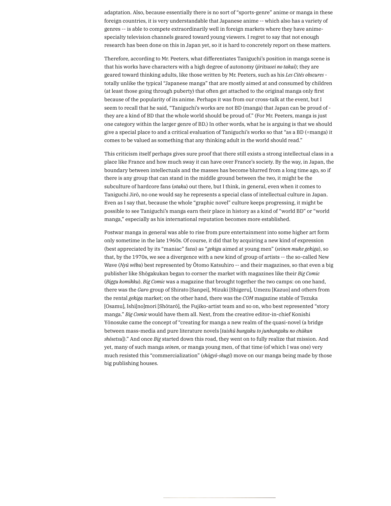adaptation. Also, because essentially there is no sort of "sports-genre" anime or manga in these foreign countries, it is very understandable that Japanese anime -- which also has a variety of genres -- is able to compete extraordinarily well in foreign markets where they have animespecialty television channels geared toward young viewers. I regret to say that not enough research has been done on this in Japan yet, so it is hard to concretely report on these matters.

Therefore, according to Mr. Peeters, what differentiates Taniguchi's position in manga scene is that his works have characters with a high degree of autonomy (*jiritsusei no takai*); they are geared toward thinking adults, like those written by Mr. Peeters, such as his *Les Cités obscures* totally unlike the typical "Japanese manga" that are mostly aimed at and consumed by children (at least those going through puberty) that often get attached to the original manga only first because of the popularity of its anime. Perhaps it was from our cross-talk at the event, but I seem to recall that he said, "Taniguchi's works are not BD (manga) that Japan can be proud of they are a kind of BD that the whole world should be proud of." (For Mr. Peeters, manga is just one category within the larger genre of BD.) In other words, what he is arguing is that we should give a special place to and a critical evaluation of Taniguchi's works so that "as a BD (=manga) it comes to be valued as something that any thinking adult in the world should read."

This criticism itself perhaps gives sure proof that there still exists a strong intellectual class in a place like France and how much sway it can have over France's society. By the way, in Japan, the boundary between intellectuals and the masses has become blurred from a long time ago, so if there is any group that can stand in the middle ground between the two, it might be the subculture of hardcore fans (*otaku*) out there, but I think, in general, even when it comes to Taniguchi Jirō, no one would say he represents a special class of intellectual culture in Japan. Even as I say that, because the whole "graphic novel" culture keeps progressing, it might be possible to see Taniguchi's manga earn their place in history as a kind of "world BD" or "world manga," especially as his international reputation becomes more established.

Postwar manga in general was able to rise from pure entertainment into some higher art form only sometime in the late 1960s. Of course, it did that by acquiring a new kind of expression (best appreciated by its "maniac" fans) as "*gekiga* aimed at young men" (*seinen muke gekiga*), so that, by the 1970s, we see a divergence with a new kind of group of artists -- the so-called New Wave (*Nyū wēbu*) best represented by Ōtomo Katsuhiro -- and their magazines, so that even a big publisher like Shōgakukan began to corner the market with magazines like their *Big Comic* (*Biggu komikku*). *Big Comic* was a magazine that brought together the two camps: on one hand, there was the *Garo* group of Shirato [Sanpei], Mizuki [Shigeru], Umezu [Kazuo] and others from the rental *gekiga* market; on the other hand, there was the *COM* magazine stable of Tezuka [Osamu], Ishi[no]mori [Shōtarō], the Fujiko-artist team and so on, who best represented "story manga." *Big Comic* would have them all. Next, from the creative editor-in-chief Konishi Yōnosuke came the concept of "creating for manga a new realm of the quasi-novel (a bridge between mass-media and pure literature novels [*taishū bungaku to junbungaku no chūkan shōsetsu*])." And once *Big* started down this road, they went on to fully realize that mission. And yet, many of such manga *seinen*, or manga young men, of that time (of which I was one) very much resisted this "commercialization" (*shōgyō-shugi*) move on our manga being made by those big publishing houses.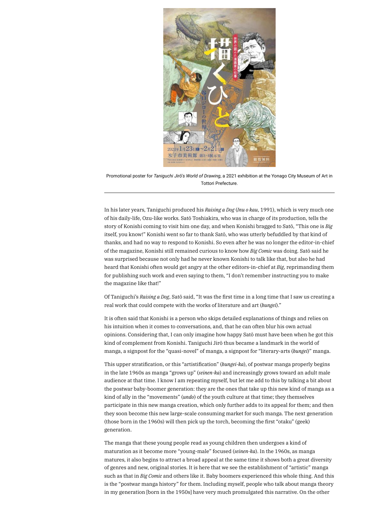

Promotional poster for *Taniguchi Jirō's World of Drawing*, a 2021 exhibition at the Yonago City Museum of Art in Tottori Prefecture.

In his later years, Taniguchi produced his *Raising a Dog* (*Inu o kau*, 1991), which is very much one of his daily-life, Ozu-like works. Satō Toshiakira, who was in charge of its production, tells the story of Konishi coming to visit him one day, and when Konishi bragged to Satō, "This one is *Big* itself, you know!" Konishi went so far to thank Satō, who was utterly befuddled by that kind of thanks, and had no way to respond to Konishi. So even after he was no longer the editor-in-chief of the magazine, Konishi still remained curious to know how *Big Comic* was doing. Satō said he was surprised because not only had he never known Konishi to talk like that, but also he had heard that Konishi often would get angry at the other editors-in-chief at *Big*, reprimanding them for publishing such work and even saying to them, "I don't remember instructing you to make the magazine like that!"

Of Taniguchi's *Raising a Dog*, Satō said, "It was the first time in a long time that I saw us creating a real work that could compete with the works of literature and art (*bungei*)."

It is often said that Konishi is a person who skips detailed explanations of things and relies on his intuition when it comes to conversations, and, that he can often blur his own actual opinions. Considering that, I can only imagine how happy Satō must have been when he got this kind of complement from Konishi. Taniguchi Jirō thus became a landmark in the world of manga, a signpost for the "quasi-novel" of manga, a signpost for "literary-arts (*bungei*)" manga.

This upper stratification, or this "artistification" (*bungei-ka*), of postwar manga properly begins in the late 1960s as manga "grows up" (*seinen-ka*) and increasingly grows toward an adult male audience at that time. I know I am repeating myself, but let me add to this by talking a bit about the postwar baby-boomer generation: they are the ones that take up this new kind of manga as a kind of ally in the "movements" (*undo*) of the youth culture at that time; they themselves participate in this new manga creation, which only further adds to its appeal for them; and then they soon become this new large-scale consuming market for such manga. The next generation (those born in the 1960s) will then pick up the torch, becoming the first "otaku" (geek) generation.

The manga that these young people read as young children then undergoes a kind of maturation as it become more "young-male" focused (*seinen-ka*). In the 1960s, as manga matures, it also begins to attract a broad appeal at the same time it shows both a great diversity of genres and new, original stories. It is here that we see the establishment of "artistic" manga such as that in *Big Comic* and others like it. Baby boomers experienced this whole thing. And this is the "postwar manga history" for them. Including myself, people who talk about manga theory in my generation [born in the 1950s] have very much promulgated this narrative. On the other